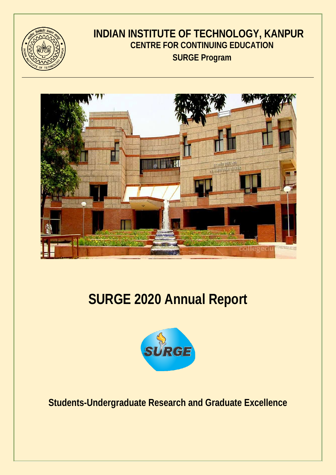

## **INDIAN INSTITUTE OF TECHNOLOGY, KANPUR CENTRE FOR CONTINUING EDUCATION SURGE Program**



# **SURGE 2020 Annual Report**



**Students-Undergraduate Research and Graduate Excellence**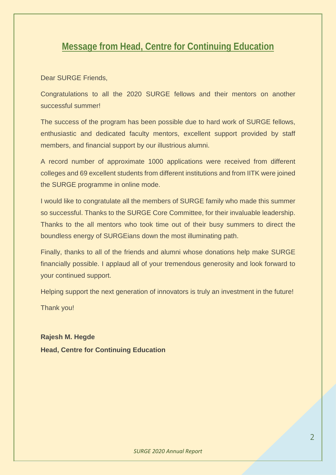### **Message from Head, Centre for Continuing Education**

Dear SURGE Friends,

Congratulations to all the 2020 SURGE fellows and their mentors on another successful summer!

The success of the program has been possible due to hard work of SURGE fellows, enthusiastic and dedicated faculty mentors, excellent support provided by staff members, and financial support by our illustrious alumni.

A record number of approximate 1000 applications were received from different colleges and 69 excellent students from different institutions and from IITK were joined the SURGE programme in online mode.

I would like to congratulate all the members of SURGE family who made this summer so successful. Thanks to the SURGE Core Committee, for their invaluable leadership. Thanks to the all mentors who took time out of their busy summers to direct the boundless energy of SURGEians down the most illuminating path.

Finally, thanks to all of the friends and alumni whose donations help make SURGE financially possible. I applaud all of your tremendous generosity and look forward to your continued support.

Helping support the next generation of innovators is truly an investment in the future!

Thank you!

**Rajesh M. Hegde Head, Centre for Continuing Education**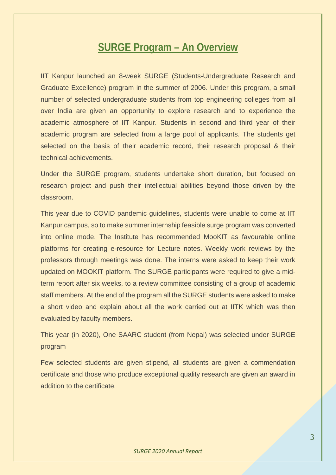### **SURGE Program – An Overview**

IIT Kanpur launched an 8-week SURGE (Students-Undergraduate Research and Graduate Excellence) program in the summer of 2006. Under this program, a small number of selected undergraduate students from top engineering colleges from all over India are given an opportunity to explore research and to experience the academic atmosphere of IIT Kanpur. Students in second and third year of their academic program are selected from a large pool of applicants. The students get selected on the basis of their academic record, their research proposal & their technical achievements.

Under the SURGE program, students undertake short duration, but focused on research project and push their intellectual abilities beyond those driven by the classroom.

This year due to COVID pandemic guidelines, students were unable to come at IIT Kanpur campus, so to make summer internship feasible surge program was converted into online mode. The Institute has recommended MooKIT as favourable online platforms for creating e-resource for Lecture notes. Weekly work reviews by the professors through meetings was done. The interns were asked to keep their work updated on MOOKIT platform. The SURGE participants were required to give a midterm report after six weeks, to a review committee consisting of a group of academic staff members. At the end of the program all the SURGE students were asked to make a short video and explain about all the work carried out at IITK which was then evaluated by faculty members.

This year (in 2020), One SAARC student (from Nepal) was selected under SURGE program

Few selected students are given stipend, all students are given a commendation certificate and those who produce exceptional quality research are given an award in addition to the certificate.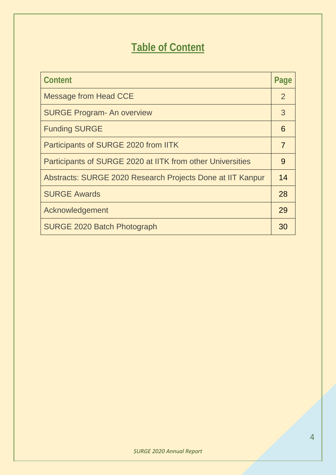# **Table of Content**

| Content                                                    | Page |
|------------------------------------------------------------|------|
| <b>Message from Head CCE</b>                               | 2    |
| <b>SURGE Program- An overview</b>                          | 3    |
| <b>Funding SURGE</b>                                       | 6    |
| Participants of SURGE 2020 from IITK                       | 7    |
| Participants of SURGE 2020 at IITK from other Universities | 9    |
| Abstracts: SURGE 2020 Research Projects Done at IIT Kanpur | 14   |
| <b>SURGE Awards</b>                                        | 28   |
| Acknowledgement                                            | 29   |
| <b>SURGE 2020 Batch Photograph</b>                         | 30   |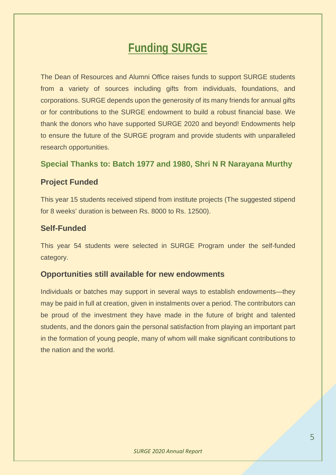# **Funding SURGE**

The Dean of Resources and Alumni Office raises funds to support SURGE students from a variety of sources including gifts from individuals, foundations, and corporations. SURGE depends upon the generosity of its many friends for annual gifts or for contributions to the SURGE endowment to build a robust financial base. We thank the donors who have supported SURGE 2020 and beyond! Endowments help to ensure the future of the SURGE program and provide students with unparalleled research opportunities.

#### **Special Thanks to: Batch 1977 and 1980, Shri N R Narayana Murthy**

#### **Project Funded**

This year 15 students received stipend from institute projects (The suggested stipend for 8 weeks' duration is between Rs. 8000 to Rs. 12500).

#### **Self-Funded**

This year 54 students were selected in SURGE Program under the self-funded category.

#### **Opportunities still available for new endowments**

Individuals or batches may support in several ways to establish endowments—they may be paid in full at creation, given in instalments over a period. The contributors can be proud of the investment they have made in the future of bright and talented students, and the donors gain the personal satisfaction from playing an important part in the formation of young people, many of whom will make significant contributions to the nation and the world.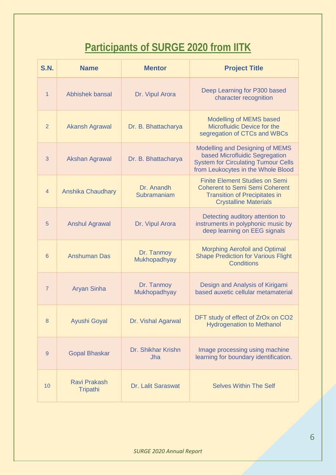# **Participants of SURGE 2020 from IITK**

| <b>S.N.</b>    | <b>Name</b>                     | <b>Mentor</b>              | <b>Project Title</b>                                                                                                                                   |
|----------------|---------------------------------|----------------------------|--------------------------------------------------------------------------------------------------------------------------------------------------------|
| 1              | Abhishek bansal                 | Dr. Vipul Arora            | Deep Learning for P300 based<br>character recognition                                                                                                  |
| 2              | <b>Akansh Agrawal</b>           | Dr. B. Bhattacharya        | Modelling of MEMS based<br>Microfluidic Device for the<br>segregation of CTCs and WBCs                                                                 |
| 3              | <b>Akshan Agrawal</b>           | Dr. B. Bhattacharya        | Modelling and Designing of MEMS<br>based Microfluidic Segregation<br><b>System for Circulating Tumour Cells</b><br>from Leukocytes in the Whole Blood  |
| $\overline{4}$ | Anshika Chaudhary               | Dr. Anandh<br>Subramaniam  | <b>Finite Element Studies on Semi</b><br><b>Coherent to Semi Semi Coherent</b><br><b>Transition of Precipitates in</b><br><b>Crystalline Materials</b> |
| 5              | <b>Anshul Agrawal</b>           | Dr. Vipul Arora            | Detecting auditory attention to<br>instruments in polyphonic music by<br>deep learning on EEG signals                                                  |
| 6              | <b>Anshuman Das</b>             | Dr. Tanmoy<br>Mukhopadhyay | <b>Morphing Aerofoil and Optimal</b><br><b>Shape Prediction for Various Flight</b><br><b>Conditions</b>                                                |
| $\overline{7}$ | <b>Aryan Sinha</b>              | Dr. Tanmoy<br>Mukhopadhyay | Design and Analysis of Kirigami<br>based auxetic cellular metamaterial                                                                                 |
| 8              | Ayushi Goyal                    | Dr. Vishal Agarwal         | DFT study of effect of ZrOx on CO2<br><b>Hydrogenation to Methanol</b>                                                                                 |
| 9              | <b>Gopal Bhaskar</b>            | Dr. Shikhar Krishn<br>Jha  | Image processing using machine<br>learning for boundary identification.                                                                                |
| 10             | <b>Ravi Prakash</b><br>Tripathi | Dr. Lalit Saraswat         | <b>Selves Within The Self</b>                                                                                                                          |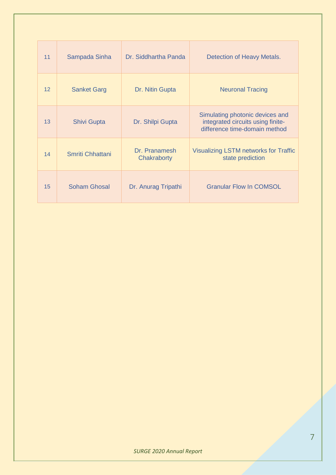| 11              | Sampada Sinha       | Dr. Siddhartha Panda         | Detection of Heavy Metals.                                                                            |
|-----------------|---------------------|------------------------------|-------------------------------------------------------------------------------------------------------|
| 12 <sup>2</sup> | <b>Sanket Garg</b>  | Dr. Nitin Gupta              | <b>Neuronal Tracing</b>                                                                               |
| 13              | <b>Shivi Gupta</b>  | Dr. Shilpi Gupta             | Simulating photonic devices and<br>integrated circuits using finite-<br>difference time-domain method |
| 14              | Smriti Chhattani    | Dr. Pranamesh<br>Chakraborty | <b>Visualizing LSTM networks for Traffic</b><br>state prediction                                      |
| 15              | <b>Soham Ghosal</b> | Dr. Anurag Tripathi          | <b>Granular Flow In COMSOL</b>                                                                        |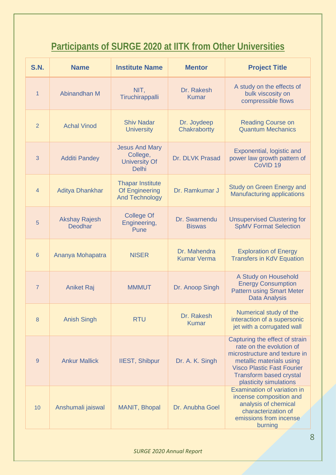# **Participants of SURGE 2020 at IITK from Other Universities**

| <b>S.N.</b>     | <b>Name</b>                            | <b>Institute Name</b>                                                     | <b>Mentor</b>                      | <b>Project Title</b>                                                                                                                                                                                                     |
|-----------------|----------------------------------------|---------------------------------------------------------------------------|------------------------------------|--------------------------------------------------------------------------------------------------------------------------------------------------------------------------------------------------------------------------|
| 1               | Abinandhan M                           | NIT,<br>Tiruchirappalli                                                   | Dr. Rakesh<br><b>Kumar</b>         | A study on the effects of<br>bulk viscosity on<br>compressible flows                                                                                                                                                     |
| $\overline{2}$  | <b>Achal Vinod</b>                     | <b>Shiv Nadar</b><br><b>University</b>                                    | Dr. Joydeep<br>Chakrabortty        | <b>Reading Course on</b><br><b>Quantum Mechanics</b>                                                                                                                                                                     |
| 3               | <b>Additi Pandey</b>                   | <b>Jesus And Mary</b><br>College,<br><b>University Of</b><br><b>Delhi</b> | Dr. DLVK Prasad                    | Exponential, logistic and<br>power law growth pattern of<br>CoVID <sub>19</sub>                                                                                                                                          |
| $\overline{4}$  | <b>Aditya Dhankhar</b>                 | <b>Thapar Institute</b><br>Of Engineering<br><b>And Technology</b>        | Dr. Ramkumar J                     | <b>Study on Green Energy and</b><br><b>Manufacturing applications</b>                                                                                                                                                    |
| 5               | <b>Akshay Rajesh</b><br><b>Deodhar</b> | <b>College Of</b><br>Engineering,<br>Pune                                 | Dr. Swarnendu<br><b>Biswas</b>     | <b>Unsupervised Clustering for</b><br><b>SpMV Format Selection</b>                                                                                                                                                       |
| $6\phantom{1}6$ | Ananya Mohapatra                       | <b>NISER</b>                                                              | Dr. Mahendra<br><b>Kumar Verma</b> | <b>Exploration of Energy</b><br><b>Transfers in KdV Equation</b>                                                                                                                                                         |
| $\overline{7}$  | <b>Aniket Raj</b>                      | <b>MMMUT</b>                                                              | Dr. Anoop Singh                    | A Study on Household<br><b>Energy Consumption</b><br><b>Pattern using Smart Meter</b><br><b>Data Analysis</b>                                                                                                            |
| 8               | <b>Anish Singh</b>                     | <b>RTU</b>                                                                | Dr. Rakesh<br><b>Kumar</b>         | Numerical study of the<br>interaction of a supersonic<br>jet with a corrugated wall                                                                                                                                      |
| 9               | <b>Ankur Mallick</b>                   | <b>IIEST, Shibpur</b>                                                     | Dr. A. K. Singh                    | Capturing the effect of strain<br>rate on the evolution of<br>microstructure and texture in<br>metallic materials using<br><b>Visco Plastic Fast Fourier</b><br><b>Transform based crystal</b><br>plasticity simulations |
| 10              | Anshumali jaiswal                      | MANIT, Bhopal                                                             | Dr. Anubha Goel                    | <b>Examination of variation in</b><br>incense composition and<br>analysis of chemical<br>characterization of<br>emissions from incense<br>burning                                                                        |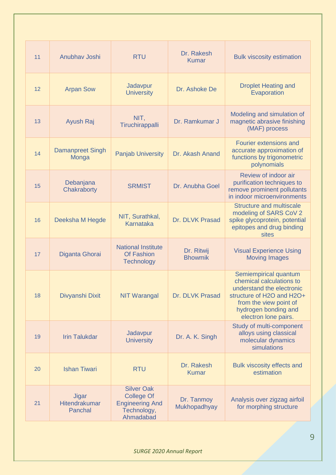| 11 | Anubhav Joshi                            | <b>RTU</b>                                                                                   | Dr. Rakesh<br><b>Kumar</b>   | <b>Bulk viscosity estimation</b>                                                                                                                                                      |
|----|------------------------------------------|----------------------------------------------------------------------------------------------|------------------------------|---------------------------------------------------------------------------------------------------------------------------------------------------------------------------------------|
| 12 | <b>Arpan Sow</b>                         | Jadavpur<br><b>University</b>                                                                | Dr. Ashoke De                | <b>Droplet Heating and</b><br>Evaporation                                                                                                                                             |
| 13 | Ayush Raj                                | NIT,<br>Tiruchirappalli                                                                      | Dr. Ramkumar J               | Modeling and simulation of<br>magnetic abrasive finishing<br>(MAF) process                                                                                                            |
| 14 | <b>Damanpreet Singh</b><br>Monga         | <b>Panjab University</b>                                                                     | Dr. Akash Anand              | Fourier extensions and<br>accurate approximation of<br>functions by trigonometric<br>polynomials                                                                                      |
| 15 | Debanjana<br>Chakraborty                 | <b>SRMIST</b>                                                                                | Dr. Anubha Goel              | Review of indoor air<br>purification techniques to<br>remove prominent pollutants<br>in indoor microenvironments                                                                      |
| 16 | Deeksha M Hegde                          | NIT, Surathkal,<br>Karnataka                                                                 | Dr. DLVK Prasad              | <b>Structure and multiscale</b><br>modeling of SARS CoV 2<br>spike glycoprotein, potential<br>epitopes and drug binding<br>sites                                                      |
| 17 | Diganta Ghorai                           | <b>National Institute</b><br><b>Of Fashion</b><br><b>Technology</b>                          | Dr. Ritwij<br><b>Bhowmik</b> | <b>Visual Experience Using</b><br><b>Moving Images</b>                                                                                                                                |
| 18 | Divyanshi Dixit                          | <b>NIT Warangal</b>                                                                          | Dr. DLVK Prasad              | Semiempirical quantum<br>chemical calculations to<br>understand the electronic<br>structure of H2O and H2O+<br>from the view point of<br>hydrogen bonding and<br>electron lone pairs. |
| 19 | <b>Irin Talukdar</b>                     | Jadavpur<br><b>University</b>                                                                | Dr. A. K. Singh              | Study of multi-component<br>alloys using classical<br>molecular dynamics<br>simulations                                                                                               |
| 20 | <b>Ishan Tiwari</b>                      | <b>RTU</b>                                                                                   | Dr. Rakesh<br><b>Kumar</b>   | <b>Bulk viscosity effects and</b><br>estimation                                                                                                                                       |
| 21 | <b>Jigar</b><br>Hitendrakumar<br>Panchal | <b>Silver Oak</b><br><b>College Of</b><br><b>Engineering And</b><br>Technology,<br>Ahmadabad | Dr. Tanmoy<br>Mukhopadhyay   | Analysis over zigzag airfoil<br>for morphing structure                                                                                                                                |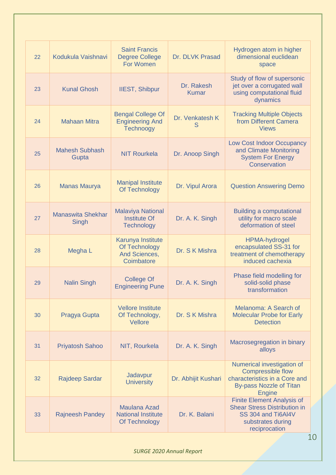| 22 | Kodukula Vaishnavi                | <b>Saint Francis</b><br><b>Degree College</b><br>For Women           | Dr. DLVK Prasad            | Hydrogen atom in higher<br>dimensional euclidean<br>space                                                                                  |
|----|-----------------------------------|----------------------------------------------------------------------|----------------------------|--------------------------------------------------------------------------------------------------------------------------------------------|
| 23 | <b>Kunal Ghosh</b>                | <b>IIEST, Shibpur</b>                                                | Dr. Rakesh<br><b>Kumar</b> | Study of flow of supersonic<br>jet over a corrugated wall<br>using computational fluid<br>dynamics                                         |
| 24 | <b>Mahaan Mitra</b>               | <b>Bengal College Of</b><br><b>Engineering And</b><br>Technoogy      | Dr. Venkatesh K<br>S       | <b>Tracking Multiple Objects</b><br>from Different Camera<br><b>Views</b>                                                                  |
| 25 | <b>Mahesh Subhash</b><br>Gupta    | <b>NIT Rourkela</b>                                                  | Dr. Anoop Singh            | <b>Low Cost Indoor Occupancy</b><br>and Climate Monitoring<br><b>System For Energy</b><br>Conservation                                     |
| 26 | <b>Manas Maurya</b>               | <b>Manipal Institute</b><br>Of Technology                            | Dr. Vipul Arora            | <b>Question Answering Demo</b>                                                                                                             |
| 27 | <b>Manaswita Shekhar</b><br>Singh | <b>Malaviya National</b><br><b>Institute Of</b><br><b>Technology</b> | Dr. A. K. Singh            | <b>Building a computational</b><br>utility for macro scale<br>deformation of steel                                                         |
| 28 | Megha L                           | Karunya Institute<br>Of Technology<br>And Sciences,<br>Coimbatore    | Dr. S K Mishra             | HPMA-hydrogel<br>encapsulated SS-31 for<br>treatment of chemotherapy<br>induced cachexia                                                   |
| 29 | <b>Nalin Singh</b>                | <b>College Of</b><br><b>Engineering Pune</b>                         | Dr. A. K. Singh            | Phase field modelling for<br>solid-solid phase<br>transformation                                                                           |
| 30 | Pragya Gupta                      | <b>Vellore Institute</b><br>Of Technology,<br>Vellore                | Dr. S K Mishra             | Melanoma: A Search of<br><b>Molecular Probe for Early</b><br><b>Detection</b>                                                              |
| 31 | <b>Priyatosh Sahoo</b>            | NIT, Rourkela                                                        | Dr. A. K. Singh            | Macrosegregation in binary<br>alloys                                                                                                       |
| 32 | <b>Rajdeep Sardar</b>             | Jadavpur<br><b>University</b>                                        | Dr. Abhijit Kushari        | Numerical investigation of<br><b>Compressible flow</b><br>characteristics in a Core and<br><b>By-pass Nozzle of Titan</b><br><b>Engine</b> |
| 33 | <b>Rajneesh Pandey</b>            | <b>Maulana Azad</b><br><b>National Institute</b><br>Of Technology    | Dr. K. Balani              | <b>Finite Element Analysis of</b><br><b>Shear Stress Distribution in</b><br>SS 304 and Ti6Al4V<br>substrates during<br>reciprocation       |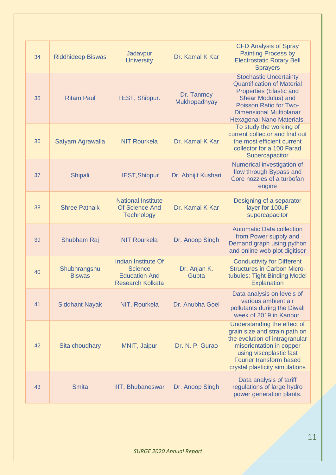| 34 | <b>Riddhideep Biswas</b>      | Jadavpur<br><b>University</b>                                                                   | Dr. Kamal K Kar            | <b>CFD Analysis of Spray</b><br><b>Painting Process by</b><br><b>Electrostatic Rotary Bell</b><br><b>Sprayers</b>                                                                                                          |
|----|-------------------------------|-------------------------------------------------------------------------------------------------|----------------------------|----------------------------------------------------------------------------------------------------------------------------------------------------------------------------------------------------------------------------|
| 35 | <b>Ritam Paul</b>             | <b>IIEST, Shibpur.</b>                                                                          | Dr. Tanmoy<br>Mukhopadhyay | <b>Stochastic Uncertainty</b><br><b>Quantification of Material</b><br><b>Properties (Elastic and</b><br>Shear Modulus) and<br>Poisson Ratio for Two-<br><b>Dimensional Multiplanar</b><br><b>Hexagonal Nano Materials.</b> |
| 36 | Satyam Agrawalla              | <b>NIT Rourkela</b>                                                                             | Dr. Kamal K Kar            | To study the working of<br>current collector and find out<br>the most efficient current<br>collector for a 100 Farad<br>Supercapacitor                                                                                     |
| 37 | <b>Shipali</b>                | <b>IIEST, Shibpur</b>                                                                           | Dr. Abhijit Kushari        | Numerical investigation of<br>flow through Bypass and<br>Core nozzles of a turbofan<br>engine                                                                                                                              |
| 38 | <b>Shree Patnaik</b>          | <b>National Institute</b><br><b>Of Science And</b><br><b>Technology</b>                         | Dr. Kamal K Kar            | Designing of a separator<br>layer for 100uF<br>supercapacitor                                                                                                                                                              |
| 39 | Shubham Raj                   | <b>NIT Rourkela</b>                                                                             | Dr. Anoop Singh            | <b>Automatic Data collection</b><br>from Power supply and<br>Demand graph using python<br>and online web plot digitiser                                                                                                    |
| 40 | Shubhrangshu<br><b>Biswas</b> | <b>Indian Institute Of</b><br><b>Science</b><br><b>Education And</b><br><b>Research Kolkata</b> | Dr. Anjan K.<br>Gupta      | <b>Conductivity for Different</b><br><b>Structures in Carbon Micro-</b><br>tubules: Tight Binding Model<br>Explanation                                                                                                     |
| 41 | <b>Siddhant Nayak</b>         | NIT, Rourkela                                                                                   | Dr. Anubha Goel            | Data analysis on levels of<br>various ambient air<br>pollutants during the Diwali<br>week of 2019 in Kanpur.                                                                                                               |
| 42 | Sita choudhary                | MNIT, Jaipur                                                                                    | Dr. N. P. Gurao            | Understanding the effect of<br>grain size and strain path on<br>the evolution of intragranular<br>misorientation in copper<br>using viscoplastic fast<br><b>Fourier transform based</b><br>crystal plasticity simulations  |
| 43 | <b>Smita</b>                  | <b>IIIT, Bhubaneswar</b>                                                                        | Dr. Anoop Singh            | Data analysis of tariff<br>regulations of large hydro<br>power generation plants.                                                                                                                                          |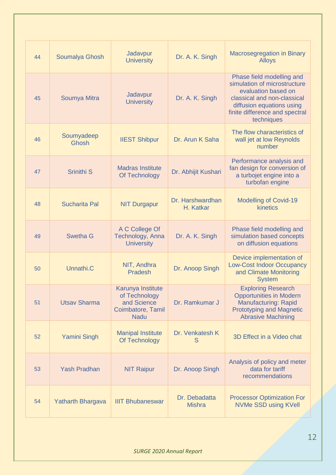| 44 | Soumalya Ghosh           | Jadavpur<br><b>University</b>                                                         | Dr. A. K. Singh                | <b>Macrosegregation in Binary</b><br><b>Alloys</b>                                                                                                                                           |
|----|--------------------------|---------------------------------------------------------------------------------------|--------------------------------|----------------------------------------------------------------------------------------------------------------------------------------------------------------------------------------------|
| 45 | Soumya Mitra             | Jadavpur<br><b>University</b>                                                         | Dr. A. K. Singh                | Phase field modelling and<br>simulation of microstructure<br>evaluation based on<br>classical and non-classical<br>diffusion equations using<br>finite difference and spectral<br>techniques |
| 46 | Soumyadeep<br>Ghosh      | <b>IIEST Shibpur</b>                                                                  | Dr. Arun K Saha                | The flow characteristics of<br>wall jet at low Reynolds<br>number                                                                                                                            |
| 47 | Srinithi <sub>S</sub>    | <b>Madras Institute</b><br>Of Technology                                              | Dr. Abhijit Kushari            | Performance analysis and<br>fan design for conversion of<br>a turbojet engine into a<br>turbofan engine                                                                                      |
| 48 | <b>Sucharita Pal</b>     | <b>NIT Durgapur</b>                                                                   | Dr. Harshwardhan<br>H. Katkar  | <b>Modelling of Covid-19</b><br>kinetics                                                                                                                                                     |
| 49 | Swetha G                 | A C College Of<br>Technology, Anna<br><b>University</b>                               | Dr. A. K. Singh                | Phase field modelling and<br>simulation based concepts<br>on diffusion equations                                                                                                             |
| 50 | Unnathi <sub>.</sub> C   | NIT, Andhra<br><b>Pradesh</b>                                                         | Dr. Anoop Singh                | Device implementation of<br><b>Low-Cost Indoor Occupancy</b><br>and Climate Monitoring<br><b>System</b>                                                                                      |
| 51 | <b>Utsav Sharma</b>      | Karunya Institute<br>of Technology<br>and Science<br>Coimbatore, Tamil<br><b>Nadu</b> | Dr. Ramkumar J                 | <b>Exploring Research</b><br><b>Opportunities in Modern</b><br><b>Manufacturing: Rapid</b><br><b>Prototyping and Magnetic</b><br><b>Abrasive Machining</b>                                   |
| 52 | <b>Yamini Singh</b>      | <b>Manipal Institute</b><br>Of Technology                                             | Dr. Venkatesh K<br>S           | 3D Effect in a Video chat                                                                                                                                                                    |
| 53 | <b>Yash Pradhan</b>      | <b>NIT Raipur</b>                                                                     | Dr. Anoop Singh                | Analysis of policy and meter<br>data for tariff<br>recommendations                                                                                                                           |
| 54 | <b>Yatharth Bhargava</b> | <b>IIIT Bhubaneswar</b>                                                               | Dr. Debadatta<br><b>Mishra</b> | <b>Processor Optimization For</b><br><b>NVMe SSD using KVell</b>                                                                                                                             |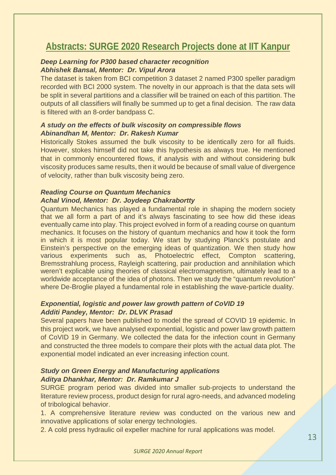### **Abstracts: SURGE 2020 Research Projects done at IIT Kanpur**

#### *Deep Learning for P300 based character recognition Abhishek Bansal, Mentor: Dr. Vipul Arora*

The dataset is taken from BCI competition 3 dataset 2 named P300 speller paradigm recorded with BCI 2000 system. The novelty in our approach is that the data sets will be split in several partitions and a classifier will be trained on each of this partition. The outputs of all classifiers will finally be summed up to get a final decision. The raw data is filtered with an 8-order bandpass C.

#### *A study on the effects of bulk viscosity on compressible flows Abinandhan M, Mentor: Dr. Rakesh Kumar*

Historically Stokes assumed the bulk viscosity to be identically zero for all fluids. However, stokes himself did not take this hypothesis as always true. He mentioned that in commonly encountered flows, if analysis with and without considering bulk viscosity produces same results, then it would be because of small value of divergence of velocity, rather than bulk viscosity being zero.

#### *Reading Course on Quantum Mechanics Achal Vinod, Mentor: Dr. Joydeep Chakrabortty*

Quantum Mechanics has played a fundamental role in shaping the modern society that we all form a part of and it's always fascinating to see how did these ideas eventually came into play. This project evolved in form of a reading course on quantum mechanics. It focuses on the history of quantum mechanics and how it took the form in which it is most popular today. We start by studying Planck's postulate and Einstein's perspective on the emerging ideas of quantization. We then study how various experiments such as, Photoelectric effect, Compton scattering, Bremsstrahlung process, Rayleigh scattering, pair production and annihilation which weren't explicable using theories of classical electromagnetism, ultimately lead to a worldwide acceptance of the idea of photons. Then we study the "quantum revolution" where De-Broglie played a fundamental role in establishing the wave-particle duality.

#### *Exponential, logistic and power law growth pattern of CoVID 19 Additi Pandey, Mentor: Dr. DLVK Prasad*

Several papers have been published to model the spread of COVID 19 epidemic. In this project work, we have analysed exponential, logistic and power law growth pattern of CoVID 19 in Germany. We collected the data for the infection count in Germany and constructed the three models to compare their plots with the actual data plot. The exponential model indicated an ever increasing infection count.

#### *Study on Green Energy and Manufacturing applications Aditya Dhankhar, Mentor: Dr. Ramkumar J*

SURGE program period was divided into smaller sub-projects to understand the literature review process, product design for rural agro-needs, and advanced modeling of tribological behavior.

1. A comprehensive literature review was conducted on the various new and innovative applications of solar energy technologies.

2. A cold press hydraulic oil expeller machine for rural applications was model.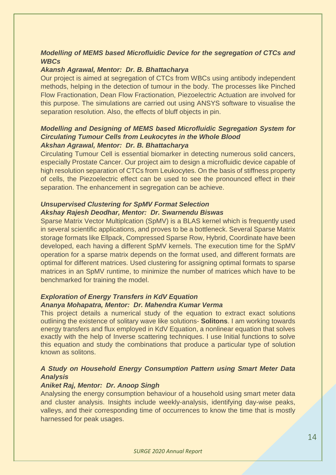#### *Modelling of MEMS based Microfluidic Device for the segregation of CTCs and WBCs*

#### *Akansh Agrawal, Mentor: Dr. B. Bhattacharya*

Our project is aimed at segregation of CTCs from WBCs using antibody independent methods, helping in the detection of tumour in the body. The processes like Pinched Flow Fractionation, Dean Flow Fractionation, Piezoelectric Actuation are involved for this purpose. The simulations are carried out using ANSYS software to visualise the separation resolution. Also, the effects of bluff objects in pin.

#### *Modelling and Designing of MEMS based Microfluidic Segregation System for Circulating Tumour Cells from Leukocytes in the Whole Blood Akshan Agrawal, Mentor: Dr. B. Bhattacharya*

Circulating Tumour Cell is essential biomarker in detecting numerous solid cancers, especially Prostate Cancer. Our project aim to design a microfluidic device capable of high resolution separation of CTCs from Leukocytes. On the basis of stiffness property of cells, the Piezoelectric effect can be used to see the pronounced effect in their separation. The enhancement in segregation can be achieve.

#### *Unsupervised Clustering for SpMV Format Selection Akshay Rajesh Deodhar, Mentor: Dr. Swarnendu Biswas*

Sparse Matrix Vector Multiplcation (SpMV) is a BLAS kernel which is frequently used in several scientific applications, and proves to be a bottleneck. Several Sparse Matrix storage formats like Ellpack, Compressed Sparse Row, Hybrid, Coordinate have been developed, each having a different SpMV kernels. The execution time for the SpMV operation for a sparse matrix depends on the format used, and different formats are optimal for different matrices. Used clustering for assigning optimal formats to sparse matrices in an SpMV runtime, to minimize the number of matrices which have to be benchmarked for training the model.

#### *Exploration of Energy Transfers in KdV Equation Ananya Mohapatra, Mentor: Dr. Mahendra Kumar Verma*

This project details a numerical study of the equation to extract exact solutions outlining the existence of solitary wave like solutions- **Solitons**. I am working towards energy transfers and flux employed in KdV Equation, a nonlinear equation that solves exactly with the help of Inverse scattering techniques. I use Initial functions to solve this equation and study the combinations that produce a particular type of solution known as solitons.

#### *A Study on Household Energy Consumption Pattern using Smart Meter Data Analysis*

#### *Aniket Raj, Mentor: Dr. Anoop Singh*

Analysing the energy consumption behaviour of a household using smart meter data and cluster analysis. Insights include weekly-analysis, identifying day-wise peaks, valleys, and their corresponding time of occurrences to know the time that is mostly harnessed for peak usages.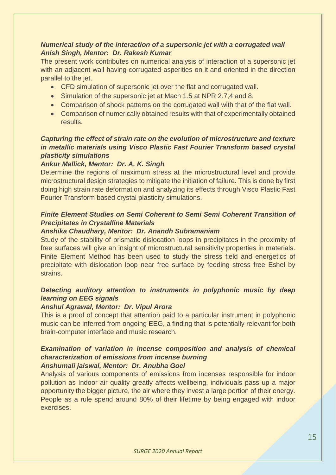#### *Numerical study of the interaction of a supersonic jet with a corrugated wall Anish Singh, Mentor: Dr. Rakesh Kumar*

The present work contributes on numerical analysis of interaction of a supersonic jet with an adjacent wall having corrugated asperities on it and oriented in the direction parallel to the jet.

- CFD simulation of supersonic jet over the flat and corrugated wall.
- Simulation of the supersonic jet at Mach 1.5 at NPR 2.7,4 and 8.
- Comparison of shock patterns on the corrugated wall with that of the flat wall.
- Comparison of numerically obtained results with that of experimentally obtained results.

#### *Capturing the effect of strain rate on the evolution of microstructure and texture in metallic materials using Visco Plastic Fast Fourier Transform based crystal plasticity simulations*

#### *Ankur Mallick, Mentor: Dr. A. K. Singh*

Determine the regions of maximum stress at the microstructural level and provide microstructural design strategies to mitigate the initiation of failure. This is done by first doing high strain rate deformation and analyzing its effects through Visco Plastic Fast Fourier Transform based crystal plasticity simulations.

#### *Finite Element Studies on Semi Coherent to Semi Semi Coherent Transition of Precipitates in Crystalline Materials*

#### *Anshika Chaudhary, Mentor: Dr. Anandh Subramaniam*

Study of the stability of prismatic dislocation loops in precipitates in the proximity of free surfaces will give an insight of microstructural sensitivity properties in materials. Finite Element Method has been used to study the stress field and energetics of precipitate with dislocation loop near free surface by feeding stress free Eshel by strains.

#### *Detecting auditory attention to instruments in polyphonic music by deep learning on EEG signals*

#### *Anshul Agrawal, Mentor: Dr. Vipul Arora*

This is a proof of concept that attention paid to a particular instrument in polyphonic music can be inferred from ongoing EEG, a finding that is potentially relevant for both brain-computer interface and music research.

#### *Examination of variation in incense composition and analysis of chemical characterization of emissions from incense burning Anshumali jaiswal, Mentor: Dr. Anubha Goel*

Analysis of various components of emissions from incenses responsible for indoor pollution as Indoor air quality greatly affects wellbeing, individuals pass up a major opportunity the bigger picture, the air where they invest a large portion of their energy. People as a rule spend around 80% of their lifetime by being engaged with indoor exercises.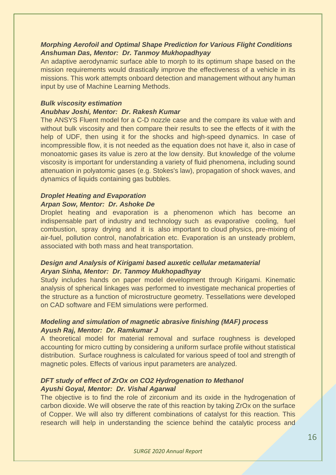#### *Morphing Aerofoil and Optimal Shape Prediction for Various Flight Conditions Anshuman Das, Mentor: Dr. Tanmoy Mukhopadhyay*

An adaptive aerodynamic surface able to morph to its optimum shape based on the mission requirements would drastically improve the effectiveness of a vehicle in its missions. This work attempts onboard detection and management without any human input by use of Machine Learning Methods.

#### *Bulk viscosity estimation*

#### *Anubhav Joshi, Mentor: Dr. Rakesh Kumar*

The ANSYS Fluent model for a C-D nozzle case and the compare its value with and without bulk viscosity and then compare their results to see the effects of it with the help of UDF, then using it for the shocks and high-speed dynamics. In case of incompressible flow, it is not needed as the equation does not have it, also in case of monoatomic gases its value is zero at the low density. But knowledge of the volume viscosity is important for understanding a variety of fluid phenomena, including sound attenuation in polyatomic gases (e.g. Stokes's law), propagation of shock waves, and dynamics of liquids containing gas bubbles.

#### *Droplet Heating and Evaporation Arpan Sow, Mentor: Dr. Ashoke De*

Droplet heating and evaporation is a phenomenon which has become an indispensable part of industry and technology such as evaporative cooling, fuel combustion, spray drying and it is also important to cloud physics, pre-mixing of air-fuel, pollution control, nanofabrication etc. Evaporation is an unsteady problem, associated with both mass and heat transportation.

#### *Design and Analysis of Kirigami based auxetic cellular metamaterial Aryan Sinha, Mentor: Dr. Tanmoy Mukhopadhyay*

Study includes hands on paper model development through Kirigami. Kinematic analysis of spherical linkages was performed to investigate mechanical properties of the structure as a function of microstructure geometry. Tessellations were developed on CAD software and FEM simulations were performed.

#### *Modeling and simulation of magnetic abrasive finishing (MAF) process Ayush Raj, Mentor: Dr. Ramkumar J*

A theoretical model for material removal and surface roughness is developed accounting for micro cutting by considering a uniform surface profile without statistical distribution. Surface roughness is calculated for various speed of tool and strength of magnetic poles. Effects of various input parameters are analyzed.

#### *DFT study of effect of ZrOx on CO2 Hydrogenation to Methanol Ayushi Goyal, Mentor: Dr. Vishal Agarwal*

The objective is to find the role of zirconium and its oxide in the hydrogenation of carbon dioxide. We will observe the rate of this reaction by taking ZrOx on the surface of Copper. We will also try different combinations of catalyst for this reaction. This research will help in understanding the science behind the catalytic process and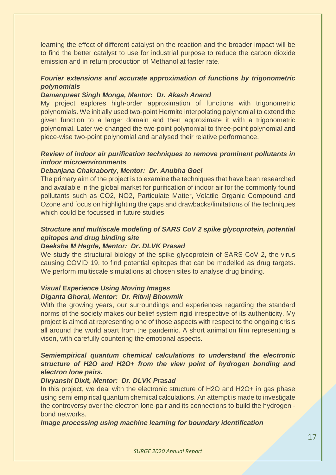learning the effect of different catalyst on the reaction and the broader impact will be to find the better catalyst to use for industrial purpose to reduce the carbon dioxide emission and in return production of Methanol at faster rate.

#### *Fourier extensions and accurate approximation of functions by trigonometric polynomials*

#### *Damanpreet Singh Monga, Mentor: Dr. Akash Anand*

My project explores high-order approximation of functions with trigonometric polynomials. We initially used two-point Hermite interpolating polynomial to extend the given function to a larger domain and then approximate it with a trigonometric polynomial. Later we changed the two-point polynomial to three-point polynomial and piece-wise two-point polynomial and analysed their relative performance.

#### *Review of indoor air purification techniques to remove prominent pollutants in indoor microenvironments*

#### *Debanjana Chakraborty, Mentor: Dr. Anubha Goel*

The primary aim of the project is to examine the techniques that have been researched and available in the global market for purification of indoor air for the commonly found pollutants such as CO2, NO2, Particulate Matter, Volatile Organic Compound and Ozone and focus on highlighting the gaps and drawbacks/limitations of the techniques which could be focussed in future studies.

#### *Structure and multiscale modeling of SARS CoV 2 spike glycoprotein, potential epitopes and drug binding site*

#### *Deeksha M Hegde, Mentor: Dr. DLVK Prasad*

We study the structural biology of the spike glycoprotein of SARS CoV 2, the virus causing COVID 19, to find potential epitopes that can be modelled as drug targets. We perform multiscale simulations at chosen sites to analyse drug binding.

#### *Visual Experience Using Moving Images Diganta Ghorai, Mentor: Dr. Ritwij Bhowmik*

With the growing years, our surroundings and experiences regarding the standard norms of the society makes our belief system rigid irrespective of its authenticity. My project is aimed at representing one of those aspects with respect to the ongoing crisis all around the world apart from the pandemic. A short animation film representing a vison, with carefully countering the emotional aspects.

#### *Semiempirical quantum chemical calculations to understand the electronic structure of H2O and H2O+ from the view point of hydrogen bonding and electron lone pairs.*

#### *Divyanshi Dixit, Mentor: Dr. DLVK Prasad*

In this project, we deal with the electronic structure of H2O and H2O+ in gas phase using semi empirical quantum chemical calculations. An attempt is made to investigate the controversy over the electron lone-pair and its connections to build the hydrogen bond networks.

*Image processing using machine learning for boundary identification*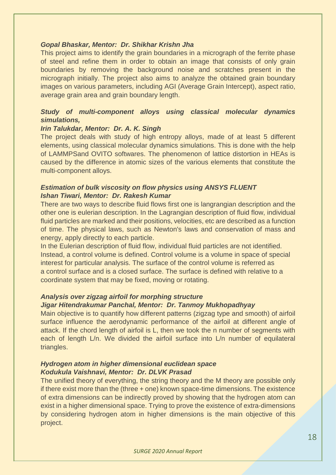#### *Gopal Bhaskar, Mentor: Dr. Shikhar Krishn Jha*

This project aims to identify the grain boundaries in a micrograph of the ferrite phase of steel and refine them in order to obtain an image that consists of only grain boundaries by removing the background noise and scratches present in the micrograph initially. The project also aims to analyze the obtained grain boundary images on various parameters, including AGI (Average Grain Intercept), aspect ratio, average grain area and grain boundary length.

#### *Study of multi-component alloys using classical molecular dynamics simulations,*

#### *Irin Talukdar, Mentor: Dr. A. K. Singh*

The project deals with study of high entropy alloys, made of at least 5 different elements, using classical molecular dynamics simulations. This is done with the help of LAMMPSand OVITO softwares. The phenomenon of lattice distortion in HEAs is caused by the difference in atomic sizes of the various elements that constitute the multi-component alloys.

#### *Estimation of bulk viscosity on flow physics using ANSYS FLUENT Ishan Tiwari, Mentor: Dr. Rakesh Kumar*

There are two ways to describe fluid flows first one is langrangian description and the other one is eulerian description. In the Lagrangian description of fluid flow, individual fluid particles are marked and their positions, velocities, etc are described as a function of time. The physical laws, such as Newton's laws and conservation of mass and energy, apply directly to each particle.

In the Eulerian description of fluid flow, individual fluid particles are not identified. Instead, a control volume is defined. Control volume is a volume in space of special interest for particular analysis. The surface of the control volume is referred as a control surface and is a closed surface. The surface is defined with relative to a coordinate system that may be fixed, moving or rotating.

#### *Analysis over zigzag airfoil for morphing structure*

#### *Jigar Hitendrakumar Panchal, Mentor: Dr. Tanmoy Mukhopadhyay*

Main objective is to quantify how different patterns (zigzag type and smooth) of airfoil surface influence the aerodynamic performance of the airfoil at different angle of attack. If the chord length of airfoil is L, then we took the n number of segments with each of length L/n. We divided the airfoil surface into L/n number of equilateral triangles.

#### *Hydrogen atom in higher dimensional euclidean space Kodukula Vaishnavi, Mentor: Dr. DLVK Prasad*

The unified theory of everything, the string theory and the M theory are possible only if there exist more than the (three + one) known space-time dimensions. The existence of extra dimensions can be indirectly proved by showing that the hydrogen atom can exist in a higher dimensional space. Trying to prove the existence of extra-dimensions by considering hydrogen atom in higher dimensions is the main objective of this project.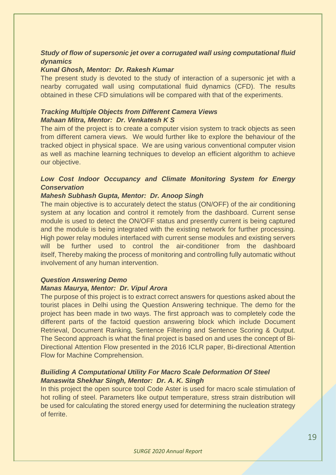#### *Study of flow of supersonic jet over a corrugated wall using computational fluid dynamics*

#### *Kunal Ghosh, Mentor: Dr. Rakesh Kumar*

The present study is devoted to the study of interaction of a supersonic jet with a nearby corrugated wall using computational fluid dynamics (CFD). The results obtained in these CFD simulations will be compared with that of the experiments.

#### *Tracking Multiple Objects from Different Camera Views Mahaan Mitra, Mentor: Dr. Venkatesh K S*

The aim of the project is to create a computer vision system to track objects as seen from different camera views. We would further like to explore the behaviour of the tracked object in physical space. We are using various conventional computer vision as well as machine learning techniques to develop an efficient algorithm to achieve our objective.

#### *Low Cost Indoor Occupancy and Climate Monitoring System for Energy Conservation*

#### *Mahesh Subhash Gupta, Mentor: Dr. Anoop Singh*

The main objective is to accurately detect the status (ON/OFF) of the air conditioning system at any location and control it remotely from the dashboard. Current sense module is used to detect the ON/OFF status and presently current is being captured and the module is being integrated with the existing network for further processing. High power relay modules interfaced with current sense modules and existing servers will be further used to control the air-conditioner from the dashboard itself, Thereby making the process of monitoring and controlling fully automatic without involvement of any human intervention.

#### *Question Answering Demo*

#### *Manas Maurya, Mentor: Dr. Vipul Arora*

The purpose of this project is to extract correct answers for questions asked about the tourist places in Delhi using the Question Answering technique. The demo for the project has been made in two ways. The first approach was to completely code the different parts of the factoid question answering block which include Document Retrieval, Document Ranking, Sentence Filtering and Sentence Scoring & Output. The Second approach is what the final project is based on and uses the concept of Bi-Directional Attention Flow presented in the 2016 ICLR paper, Bi-directional Attention Flow for Machine Comprehension.

#### *Builiding A Computational Utility For Macro Scale Deformation Of Steel Manaswita Shekhar Singh, Mentor: Dr. A. K. Singh*

In this project the open source tool Code Aster is used for macro scale stimulation of hot rolling of steel. Parameters like output temperature, stress strain distribution will be used for calculating the stored energy used for determining the nucleation strategy of ferrite.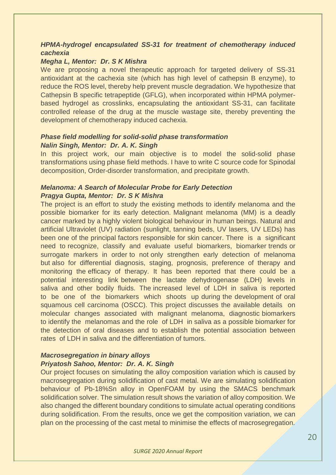#### *HPMA-hydrogel encapsulated SS-31 for treatment of chemotherapy induced cachexia*

#### *Megha L, Mentor: Dr. S K Mishra*

We are proposing a novel therapeutic approach for targeted delivery of SS-31 antioxidant at the cachexia site (which has high level of cathepsin B enzyme), to reduce the ROS level, thereby help prevent muscle degradation. We hypothesize that Cathepsin B specific tetrapeptide (GFLG), when incorporated within HPMA polymerbased hydrogel as crosslinks, encapsulating the antioxidant SS-31, can facilitate controlled release of the drug at the muscle wastage site, thereby preventing the development of chemotherapy induced cachexia.

#### *Phase field modelling for solid-solid phase transformation Nalin Singh, Mentor: Dr. A. K. Singh*

In this project work, our main objective is to model the solid-solid phase transformations using phase field methods. I have to write C source code for Spinodal decomposition, Order-disorder transformation, and precipitate growth.

#### *Melanoma: A Search of Molecular Probe for Early Detection Pragya Gupta, Mentor: Dr. S K Mishra*

The project is an effort to study the existing methods to identify melanoma and the possible biomarker for its early detection. Malignant melanoma (MM) is a deadly cancer marked by a highly violent biological behaviour in human beings. Natural and artificial Ultraviolet (UV) radiation (sunlight, tanning beds, UV lasers, UV LEDs) has been one of the principal factors responsible for skin cancer. There is a significant need to recognize, classify and evaluate useful biomarkers, biomarker trends or surrogate markers in order to not only strengthen early detection of melanoma but also for differential diagnosis, staging, prognosis, preference of therapy and monitoring the efficacy of therapy. It has been reported that there could be a potential interesting link between the lactate dehydrogenase (LDH) levels in saliva and other bodily fluids. The increased level of LDH in saliva is reported to be one of the biomarkers which shoots up during the development of oral squamous cell carcinoma (OSCC). This project discusses the available details on molecular changes associated with malignant melanoma, diagnostic biomarkers to identify the melanomas and the role of LDH in saliva as a possible biomarker for the detection of oral diseases and to establish the potential association between rates of LDH in saliva and the differentiation of tumors.

#### *Macrosegregation in binary alloys*

#### *Priyatosh Sahoo, Mentor: Dr. A. K. Singh*

Our project focuses on simulating the alloy composition variation which is caused by macrosegregation during solidification of cast metal. We are simulating solidification behaviour of Pb-18%Sn alloy in OpenFOAM by using the SMACS benchmark solidification solver. The simulation result shows the variation of alloy composition. We also changed the different boundary conditions to simulate actual operating conditions during solidification. From the results, once we get the composition variation, we can plan on the processing of the cast metal to minimise the effects of macrosegregation.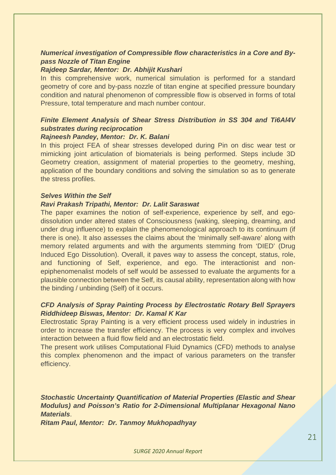#### *Numerical investigation of Compressible flow characteristics in a Core and Bypass Nozzle of Titan Engine*

#### *Rajdeep Sardar, Mentor: Dr. Abhijit Kushari*

In this comprehensive work, numerical simulation is performed for a standard geometry of core and by-pass nozzle of titan engine at specified pressure boundary condition and natural phenomenon of compressible flow is observed in forms of total Pressure, total temperature and mach number contour.

#### *Finite Element Analysis of Shear Stress Distribution in SS 304 and Ti6Al4V substrates during reciprocation*

#### *Rajneesh Pandey, Mentor: Dr. K. Balani*

In this project FEA of shear stresses developed during Pin on disc wear test or mimicking joint articulation of biomaterials is being performed. Steps include 3D Geometry creation, assignment of material properties to the geometry, meshing, application of the boundary conditions and solving the simulation so as to generate the stress profiles.

#### *Selves Within the Self*

#### *Ravi Prakash Tripathi, Mentor: Dr. Lalit Saraswat*

The paper examines the notion of self-experience, experience by self, and egodissolution under altered states of Consciousness (waking, sleeping, dreaming, and under drug influence) to explain the phenomenological approach to its continuum (if there is one). It also assesses the claims about the 'minimally self-aware' along with memory related arguments and with the arguments stemming from 'DIED' (Drug Induced Ego Dissolution). Overall, it paves way to assess the concept, status, role, and functioning of Self, experience, and ego. The interactionist and nonepiphenomenalist models of self would be assessed to evaluate the arguments for a plausible connection between the Self, its causal ability, representation along with how the binding / unbinding (Self) of it occurs.

#### *CFD Analysis of Spray Painting Process by Electrostatic Rotary Bell Sprayers Riddhideep Biswas, Mentor: Dr. Kamal K Kar*

Electrostatic Spray Painting is a very efficient process used widely in industries in order to increase the transfer efficiency. The process is very complex and involves interaction between a fluid flow field and an electrostatic field.

The present work utilises Computational Fluid Dynamics (CFD) methods to analyse this complex phenomenon and the impact of various parameters on the transfer efficiency.

*Stochastic Uncertainty Quantification of Material Properties (Elastic and Shear Modulus) and Poisson's Ratio for 2-Dimensional Multiplanar Hexagonal Nano Materials*.

*Ritam Paul, Mentor: Dr. Tanmoy Mukhopadhyay*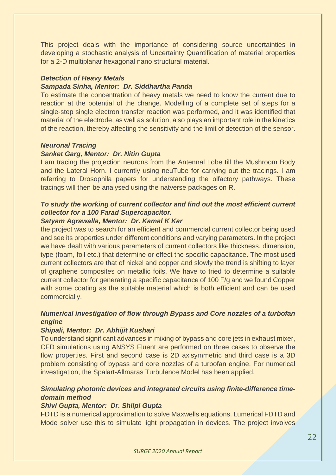This project deals with the importance of considering source uncertainties in developing a stochastic analysis of Uncertainty Quantification of material properties for a 2-D multiplanar hexagonal nano structural material.

#### *Detection of Heavy Metals*

#### *Sampada Sinha, Mentor: Dr. Siddhartha Panda*

To estimate the concentration of heavy metals we need to know the current due to reaction at the potential of the change. Modelling of a complete set of steps for a single-step single electron transfer reaction was performed, and it was identified that material of the electrode, as well as solution, also plays an important role in the kinetics of the reaction, thereby affecting the sensitivity and the limit of detection of the sensor.

#### *Neuronal Tracing*

#### *Sanket Garg, Mentor: Dr. Nitin Gupta*

I am tracing the projection neurons from the Antennal Lobe till the Mushroom Body and the Lateral Horn. I currently using neuTube for carrying out the tracings. I am referring to Drosophila papers for understanding the olfactory pathways. These tracings will then be analysed using the natverse packages on R.

#### *To study the working of current collector and find out the most efficient current collector for a 100 Farad Supercapacitor.*

#### *Satyam Agrawalla, Mentor: Dr. Kamal K Kar*

the project was to search for an efficient and commercial current collector being used and see its properties under different conditions and varying parameters. In the project we have dealt with various parameters of current collectors like thickness, dimension, type (foam, foil etc.) that determine or effect the specific capacitance. The most used current collectors are that of nickel and copper and slowly the trend is shifting to layer of graphene composites on metallic foils. We have to tried to determine a suitable current collector for generating a specific capacitance of 100 F/g and we found Copper with some coating as the suitable material which is both efficient and can be used commercially.

#### *Numerical investigation of flow through Bypass and Core nozzles of a turbofan engine*

#### *Shipali, Mentor: Dr. Abhijit Kushari*

To understand significant advances in mixing of bypass and core jets in exhaust mixer, CFD simulations using ANSYS Fluent are performed on three cases to observe the flow properties. First and second case is 2D axisymmetric and third case is a 3D problem consisting of bypass and core nozzles of a turbofan engine. For numerical investigation, the Spalart-Allmaras Turbulence Model has been applied.

#### *Simulating photonic devices and integrated circuits using finite-difference timedomain method*

#### *Shivi Gupta, Mentor: Dr. Shilpi Gupta*

FDTD is a numerical approximation to solve Maxwells equations. Lumerical FDTD and Mode solver use this to simulate light propagation in devices. The project involves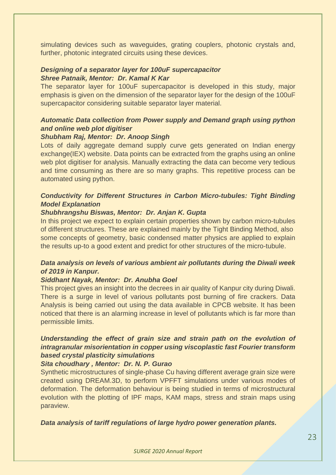simulating devices such as waveguides, grating couplers, photonic crystals and, further, photonic integrated circuits using these devices.

#### *Designing of a separator layer for 100uF supercapacitor Shree Patnaik, Mentor: Dr. Kamal K Kar*

The separator layer for 100uF supercapacitor is developed in this study, major emphasis is given on the dimension of the separator layer for the design of the 100uF supercapacitor considering suitable separator layer material.

#### *Automatic Data collection from Power supply and Demand graph using python and online web plot digitiser*

#### *Shubham Raj, Mentor: Dr. Anoop Singh*

Lots of daily aggregate demand supply curve gets generated on Indian energy exchange(IEX) website. Data points can be extracted from the graphs using an online web plot digitiser for analysis. Manually extracting the data can become very tedious and time consuming as there are so many graphs. This repetitive process can be automated using python.

#### *Conductivity for Different Structures in Carbon Micro-tubules: Tight Binding Model Explanation*

#### *Shubhrangshu Biswas, Mentor: Dr. Anjan K. Gupta*

In this project we expect to explain certain properties shown by carbon micro-tubules of different structures. These are explained mainly by the Tight Binding Method, also some concepts of geometry, basic condensed matter physics are applied to explain the results up-to a good extent and predict for other structures of the micro-tubule.

#### *Data analysis on levels of various ambient air pollutants during the Diwali week of 2019 in Kanpur.*

#### *Siddhant Nayak, Mentor: Dr. Anubha Goel*

This project gives an insight into the decrees in air quality of Kanpur city during Diwali. There is a surge in level of various pollutants post burning of fire crackers. Data Analysis is being carried out using the data available in CPCB website. It has been noticed that there is an alarming increase in level of pollutants which is far more than permissible limits.

#### *Understanding the effect of grain size and strain path on the evolution of intragranular misorientation in copper using viscoplastic fast Fourier transform based crystal plasticity simulations*

#### *Sita choudhary , Mentor: Dr. N. P. Gurao*

Synthetic microstructures of single-phase Cu having different average grain size were created using DREAM.3D, to perform VPFFT simulations under various modes of deformation. The deformation behaviour is being studied in terms of microstructural evolution with the plotting of IPF maps, KAM maps, stress and strain maps using paraview.

*Data analysis of tariff regulations of large hydro power generation plants.*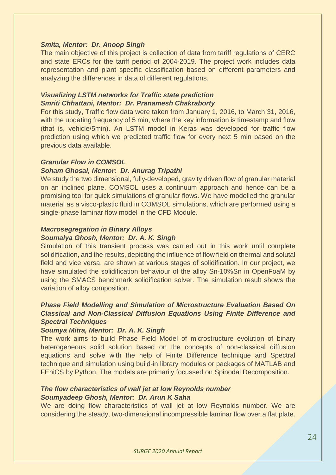#### *Smita, Mentor: Dr. Anoop Singh*

The main objective of this project is collection of data from tariff regulations of CERC and state ERCs for the tariff period of 2004-2019. The project work includes data representation and plant specific classification based on different parameters and analyzing the differences in data of different regulations.

#### *Visualizing LSTM networks for Traffic state prediction Smriti Chhattani, Mentor: Dr. Pranamesh Chakraborty*

For this study, Traffic flow data were taken from January 1, 2016, to March 31, 2016, with the updating frequency of 5 min, where the key information is timestamp and flow (that is, vehicle/5min). An LSTM model in Keras was developed for traffic flow prediction using which we predicted traffic flow for every next 5 min based on the previous data available.

#### *Granular Flow in COMSOL*

#### *Soham Ghosal, Mentor: Dr. Anurag Tripathi*

We study the two dimensional, fully-developed, gravity driven flow of granular material on an inclined plane. COMSOL uses a continuum approach and hence can be a promising tool for quick simulations of granular flows. We have modelled the granular material as a visco-plastic fluid in COMSOL simulations, which are performed using a single-phase laminar flow model in the CFD Module.

#### *Macrosegregation in Binary Alloys*

#### *Soumalya Ghosh, Mentor: Dr. A. K. Singh*

Simulation of this transient process was carried out in this work until complete solidification, and the results, depicting the influence of flow field on thermal and solutal field and vice versa, are shown at various stages of solidification. In our project, we have simulated the solidification behaviour of the alloy Sn-10%Sn in OpenFoaM by using the SMACS benchmark solidification solver. The simulation result shows the variation of alloy composition.

#### *Phase Field Modelling and Simulation of Microstructure Evaluation Based On Classical and Non-Classical Diffusion Equations Using Finite Difference and Spectral Techniques*

#### *Soumya Mitra, Mentor: Dr. A. K. Singh*

The work aims to build Phase Field Model of microstructure evolution of binary heterogeneous solid solution based on the concepts of non-classical diffusion equations and solve with the help of Finite Difference technique and Spectral technique and simulation using build-in library modules or packages of MATLAB and FEniCS by Python. The models are primarily focussed on Spinodal Decomposition.

#### *The flow characteristics of wall jet at low Reynolds number Soumyadeep Ghosh, Mentor: Dr. Arun K Saha*

We are doing flow characteristics of wall jet at low Reynolds number. We are considering the steady, two-dimensional incompressible laminar flow over a flat plate.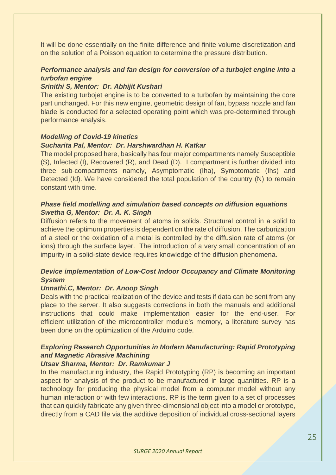It will be done essentially on the finite difference and finite volume discretization and on the solution of a Poisson equation to determine the pressure distribution.

#### *Performance analysis and fan design for conversion of a turbojet engine into a turbofan engine*

#### *Srinithi S, Mentor: Dr. Abhijit Kushari*

The existing turbojet engine is to be converted to a turbofan by maintaining the core part unchanged. For this new engine, geometric design of fan, bypass nozzle and fan blade is conducted for a selected operating point which was pre-determined through performance analysis.

#### *Modelling of Covid-19 kinetics*

#### *Sucharita Pal, Mentor: Dr. Harshwardhan H. Katkar*

The model proposed here, basically has four major compartments namely Susceptible (S), Infected (I), Recovered (R), and Dead (D). I compartment is further divided into three sub-compartments namely, Asymptomatic (Iha), Symptomatic (Ihs) and Detected (Id). We have considered the total population of the country (N) to remain constant with time.

#### *Phase field modelling and simulation based concepts on diffusion equations Swetha G, Mentor: Dr. A. K. Singh*

Diffusion refers to the movement of atoms in solids. Structural control in a solid to achieve the optimum properties is dependent on the rate of diffusion. The carburization of a steel or the oxidation of a metal is controlled by the diffusion rate of atoms (or ions) through the surface layer. The introduction of a very small concentration of an impurity in a solid-state device requires knowledge of the diffusion phenomena.

#### *Device implementation of Low-Cost Indoor Occupancy and Climate Monitoring System*

#### *Unnathi.C, Mentor: Dr. Anoop Singh*

Deals with the practical realization of the device and tests if data can be sent from any place to the server. It also suggests corrections in both the manuals and additional instructions that could make implementation easier for the end-user. For efficient utilization of the microcontroller module's memory, a literature survey has been done on the optimization of the Arduino code.

#### *Exploring Research Opportunities in Modern Manufacturing: Rapid Prototyping and Magnetic Abrasive Machining*

#### *Utsav Sharma, Mentor: Dr. Ramkumar J*

In the manufacturing industry, the Rapid Prototyping (RP) is becoming an important aspect for analysis of the product to be manufactured in large quantities. RP is a technology for producing the physical model from a computer model without any human interaction or with few interactions. RP is the term given to a set of processes that can quickly fabricate any given three-dimensional object into a model or prototype, directly from a CAD file via the additive deposition of individual cross-sectional layers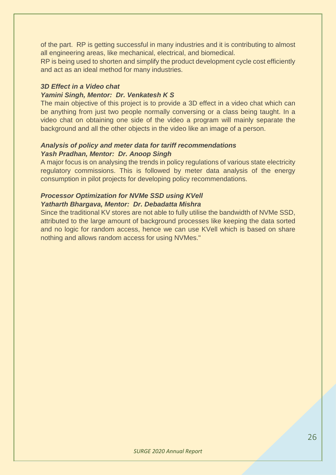of the part. RP is getting successful in many industries and it is contributing to almost all engineering areas, like mechanical, electrical, and biomedical.

RP is being used to shorten and simplify the product development cycle cost efficiently and act as an ideal method for many industries.

#### *3D Effect in a Video chat*

#### *Yamini Singh, Mentor: Dr. Venkatesh K S*

The main objective of this project is to provide a 3D effect in a video chat which can be anything from just two people normally conversing or a class being taught. In a video chat on obtaining one side of the video a program will mainly separate the background and all the other objects in the video like an image of a person.

#### *Analysis of policy and meter data for tariff recommendations Yash Pradhan, Mentor: Dr. Anoop Singh*

A major focus is on analysing the trends in policy regulations of various state electricity regulatory commissions. This is followed by meter data analysis of the energy consumption in pilot projects for developing policy recommendations.

#### *Processor Optimization for NVMe SSD using KVell Yatharth Bhargava, Mentor: Dr. Debadatta Mishra*

Since the traditional KV stores are not able to fully utilise the bandwidth of NVMe SSD, attributed to the large amount of background processes like keeping the data sorted and no logic for random access, hence we can use KVell which is based on share nothing and allows random access for using NVMes."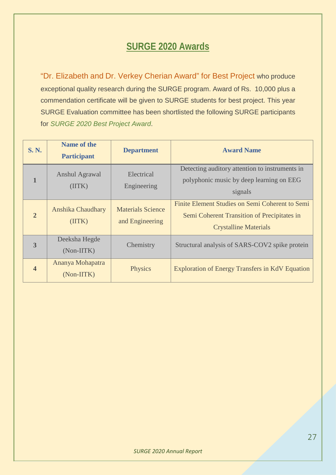### **SURGE 2020 Awards**

"Dr. Elizabeth and Dr. Verkey Cherian Award" for Best Project who produce exceptional quality research during the SURGE program. Award of Rs. 10,000 plus a commendation certificate will be given to SURGE students for best project. This year SURGE Evaluation committee has been shortlisted the following SURGE participants for *SURGE 2020 Best Project Award*.

| <b>S. N.</b>            | <b>Name of the</b><br><b>Participant</b> | <b>Department</b>                           | <b>Award Name</b>                                                                                                              |
|-------------------------|------------------------------------------|---------------------------------------------|--------------------------------------------------------------------------------------------------------------------------------|
| $\mathbf{1}$            | Anshul Agrawal<br>(IITK)                 | Electrical<br>Engineering                   | Detecting auditory attention to instruments in<br>polyphonic music by deep learning on EEG<br>signals                          |
| $\overline{2}$          | Anshika Chaudhary<br>(IITK)              | <b>Materials Science</b><br>and Engineering | Finite Element Studies on Semi Coherent to Semi<br>Semi Coherent Transition of Precipitates in<br><b>Crystalline Materials</b> |
| 3                       | Deeksha Hegde<br>(Non-IITK)              | Chemistry                                   | Structural analysis of SARS-COV2 spike protein                                                                                 |
| $\overline{\mathbf{4}}$ | Ananya Mohapatra<br>(Non-IITK)           | Physics                                     | <b>Exploration of Energy Transfers in KdV Equation</b>                                                                         |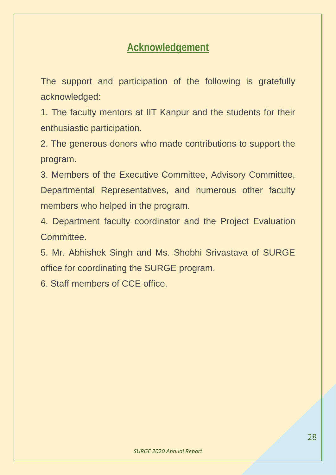## **Acknowledgement**

The support and participation of the following is gratefully acknowledged:

1. The faculty mentors at IIT Kanpur and the students for their enthusiastic participation.

2. The generous donors who made contributions to support the program.

3. Members of the Executive Committee, Advisory Committee, Departmental Representatives, and numerous other faculty members who helped in the program.

4. Department faculty coordinator and the Project Evaluation Committee.

5. Mr. Abhishek Singh and Ms. Shobhi Srivastava of SURGE office for coordinating the SURGE program.

6. Staff members of CCE office.